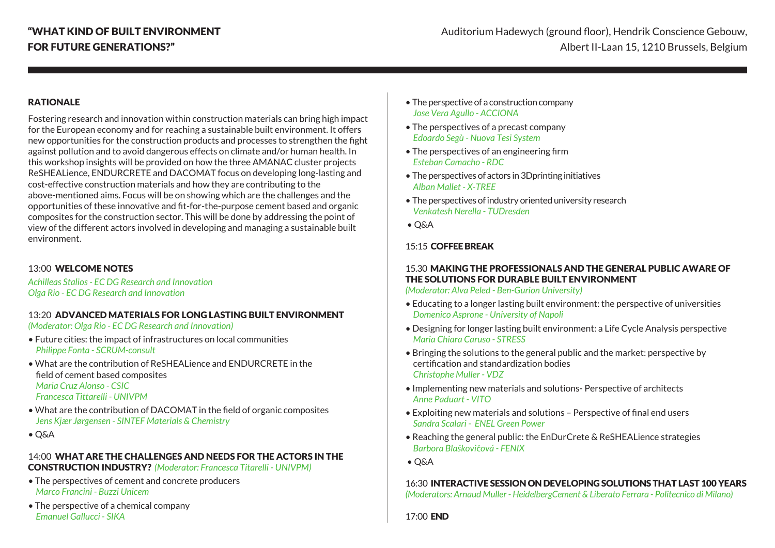## RATIONALE

Fostering research and innovation within construction materials can bring high impact for the European economy and for reaching a sustainable built environment. It offers new opportunities for the construction products and processes to strengthen the fight against pollution and to avoid dangerous effects on climate and/or human health. In this workshop insights will be provided on how the three AMANAC cluster projects ReSHEALience, ENDURCRETE and DACOMAT focus on developing long-lasting and cost-effective construction materials and how they are contributing to the above-mentioned aims. Focus will be on showing which are the challenges and the opportunities of these innovative and fit-for-the-purpose cement based and organic composites for the construction sector. This will be done by addressing the point of view of the different actors involved in developing and managing a sustainable built environment.

## 13:00 WELCOME NOTES

*Achilleas Stalios - EC DG Research and Innovation Olga Rio - EC DG Research and Innovation*

## 13:20 ADVANCED MATERIALS FOR LONG LASTING BUILT ENVIRONMENT

*(Moderator: Olga Rio - EC DG Research and Innovation)*

- Future cities: the impact of infrastructures on local communities *Philippe Fonta - SCRUM-consult*
- What are the contribution of ReSHEALience and ENDURCRETE in the field of cement based composites *Maria Cruz Alonso - CSIC Francesca Tittarelli - UNIVPM*
- What are the contribution of DACOMAT in the field of organic composites *Jens Kjær Jørgensen - SINTEF Materials & Chemistry*
- Q&A

## 14:00 WHAT ARE THE CHALLENGES AND NEEDS FOR THE ACTORS IN THE CONSTRUCTION INDUSTRY? *(Moderator: Francesca Titarelli - UNIVPM)*

- The perspectives of cement and concrete producers *Marco Francini - Buzzi Unicem*
- The perspective of a chemical company *Emanuel Gallucci - SIKA*
- The perspective of a construction company *Jose Vera Agullo - ACCIONA*
- The perspectives of a precast company *Edoardo Segù - Nuova Tesi System*
- The perspectives of an engineering firm *Esteban Camacho - RDC*
- The perspectives of actors in 3Dprinting initiatives *Alban Mallet - X-TREE*
- The perspectives of industry oriented university research *Venkatesh Nerella - TUDresden*
- Q&A

## 15:15 COFFEE BREAK

## 15.30 MAKING THE PROFESSIONALS AND THE GENERAL PUBLIC AWARE OF THE SOLUTIONS FOR DURABLE BUILT ENVIRONMENT

*(Moderator: Alva Peled - Ben-Gurion University)*

- Educating to a longer lasting built environment: the perspective of universities *Domenico Asprone - University of Napoli*
- Designing for longer lasting built environment: a Life Cycle Analysis perspective *Maria Chiara Caruso - STRESS*
- Bringing the solutions to the general public and the market: perspective by certification and standardization bodies *Christophe Muller - VDZ*
- Implementing new materials and solutions- Perspective of architects *Anne Paduart - VITO*
- Exploiting new materials and solutions Perspective of final end users *Sandra Scalari - ENEL Green Power*
- Reaching the general public: the EnDurCrete & ReSHEALience strategies *Barbora Blaškovi*č*ová - FENIX*
- Q&A

## 16:30 INTERACTIVE SESSION ON DEVELOPING SOLUTIONS THAT LAST 100 YEARS

*(Moderators: Arnaud Muller - HeidelbergCement & Liberato Ferrara - Politecnico di Milano)*

17:00 END